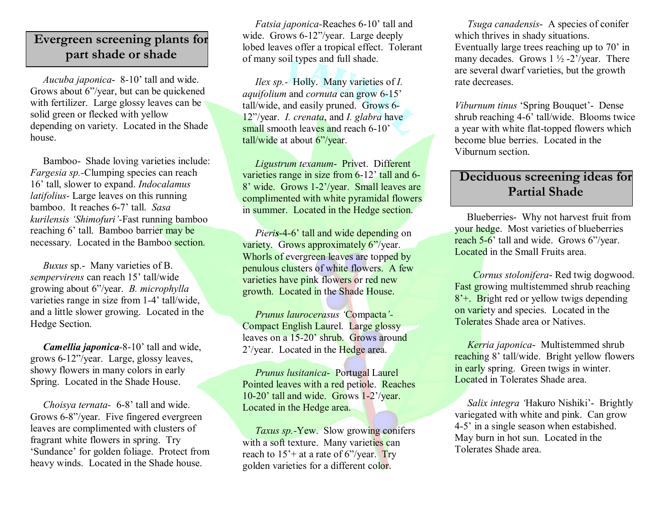## **Evergreen screening plants for part shade or shade**

*Aucuba japonica* 8-10' tall and wide. Grows about 6"/year, but can be quickened with fertilizer. Large glossy leaves can be solid green or flecked with yellow depending on variety. Located in the Shade house.

Bamboo- Shade loving varieties include: *Fargesia sp.*Clumping species can reach 16' tall, slower to expand. *Indocalamus latifolius* - Large leaves on this running bamboo. It reaches 6-7' tall. *Sasa kurilensis 'Shimofuri'*Fast running bamboo reaching 6' tall. Bamboo barrier may be necessary. Located in the Bamboo section.

*Buxus* sp. Many varieties of B. *sempervirens* can reach 15' tall/wide growing about 6"/year. *B. microphylla* varieties range in size from 1-4' tall/wide, and a little slower growing. Located in the Hedge Section.

*Camellia <i>japonica*-8-10' tall and wide, grows 612"/year. Large, glossy leaves, showy flowers in many colors in early Spring. Located in the Shade House.

*Choisya ternata*- 6-8' tall and wide. Grows 6-8"/year. Five fingered evergreen leaves are complimented with clusters of fragrant white flowers in spring. Try 'Sundance' for golden foliage. Protect from heavy winds. Located in the Shade house.

*Fatsia japonica*-Reaches 6-10' tall and wide. Grows 6-12"/year. Large deeply lobed leaves offer a tropical effect. Tolerant of many soil types and full shade.

*Ilex sp.* Holly. Many varieties of *I. aquifolium* and *cornuta* can grow 6-15' tall/wide, and easily pruned. Grows 6 12"/year. *I. crenata*, and *I. glabra* have small smooth leaves and reach 6-10' tall/wide at about 6"/year.

*Ligustrum texanum- Privet. Different* varieties range in size from  $6-12$ <sup>2</sup> tall and  $6-$ 8' wide. Grows 1-2'/year. Small leaves are complimented with white pyramidal flowers in summer. Located in the Hedge section.

*Pieris*-4-6' tall and wide depending on variety. Grows approximately 6"/year. Whorls of evergreen leaves are topped by penulous clusters of white flowers. A few varieties have pink flowers or red new growth. Located in the Shade House.

*Prunus laurocerasus '*Compacta*'* Compact English Laurel. Large glossy leaves on a 15-20' shrub. Grows around 2'/year. Located in the Hedge area.

*Prunus lusitanica* Portugal Laurel Pointed leaves with a red petiole. Reaches  $10-20$ ' tall and wide. Grows  $1-2$ '/year. Located in the Hedge area.

*Taxus sp.*-Yew. Slow growing conifers with a soft texture. Many varieties can reach to  $15'$  + at a rate of 6"/year. Try golden varieties for a different color.

*Tsuga canadensis* A species of conifer which thrives in shady situations. Eventually large trees reaching up to 70' in many decades. Grows  $1\frac{1}{2} - 2\frac{?}{\text{year}}$ . There are several dwarf varieties, but the growth rate decreases.

*Viburnum tinus* 'Spring Bouquet' - Dense shrub reaching 4-6' tall/wide. Blooms twice a year with white flat-topped flowers which become blue berries. Located in the Viburnum section.

## **Deciduous screening ideas for Partial Shade**

Blueberries- Why not harvest fruit from your hedge. Most varieties of blueberries reach  $5-6'$  tall and wide. Grows  $6''$ /year. Located in the Small Fruits area.

*Cornus stolonifera* Red twig dogwood. Fast growing multistemmed shrub reaching 8'+. Bright red or yellow twigs depending on variety and species. Located in the Tolerates Shade area or Natives.

*Kerria japonica* Multistemmed shrub reaching 8' tall/wide. Bright yellow flowers in early spring. Green twigs in winter. Located in Tolerates Shade area.

*Salix integra* 'Hakuro Nishiki' - Brightly variegated with white and pink. Can grow 45' in a single season when estabished. May burn in hot sun. Located in the Tolerates Shade area.